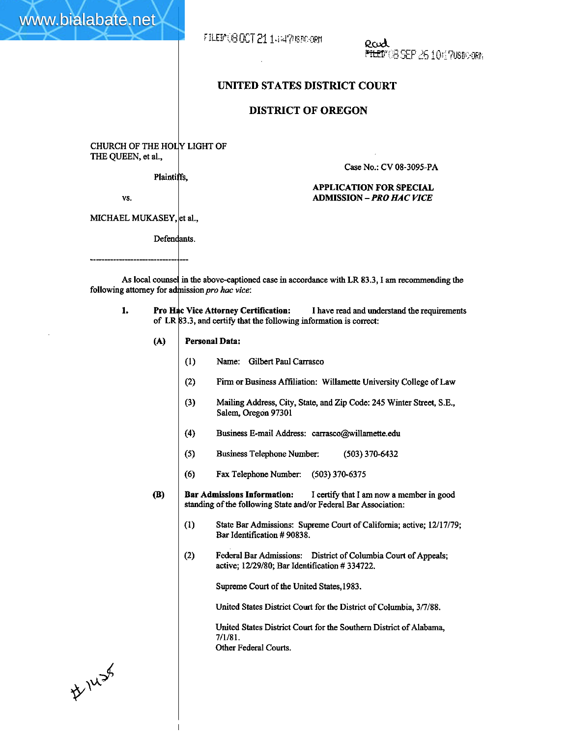FILEMUS DCT 21 1447/800-0RM

Rud FLED" OG SEP 25 10 17 70sdoger.

## **UNITED STATES DISTRICT COURT**

## **DISTRICT OF OREGON**

CHURCH OF THE HOLY LIGHT OF **THE** QUEEN, et al.,

**Plaintiffs.** 

Case No.: CV 08-3095-PA

## **APPLICATION FOR SPECIAL ADMISSION -PRO HAC VICE**

VS.

www.bialabate.net

MICHAEL MUKASEY, **|**et al.

Defendants.

As local counsel in the above-captioned case in accordance with LR 83.3, I am recommending the following attorney for admission pro hac vice:

- 1. Pro Hac Vice Attorney Certification: of **Ll**  3.3, and **certify** that the following information is correct: **Vice Attorney Certification:** I **have** read and understand the requirements
	- **(A) Personal Data:** 
		- **(1)** Name: Gilbert Paul Carrasco
		- (2) **Finn** or Business Affiliation: Willamette University College of Law
		- **(3)** Mailing Address, City, State, and Zip Code: 245 Winter Street, S.E., Salem, Oregon 97301
		- (4) Business E-mail Address: carrasco@willamette.edu
		- (5) Business Telephone Number: (503) 370-6432
		- (6) **Fax** Telephone Number: (503) 370-6375
	- **(B)** Bar Admissions **Information:** I certify that I am now a member in good standing of **the** following **State** andor Federal Bar Association:
		- State Bar Admissions: Supreme Court of California; active; 12/17/79;  $(1)$ **Bar** Identification # 90838.
		- $(2)$ Federal Bar Admissions: District of Columbia Court of Appeals; active; 12/29/80; Bar Identification # 334722.

Supreme Court of the United States, 1983.

United States District **Court** for the District of Columbia, 3/7/88.

United States District Court for the Southern District of Alabama, 7/1/81. **Other** Federal Courts.

#1438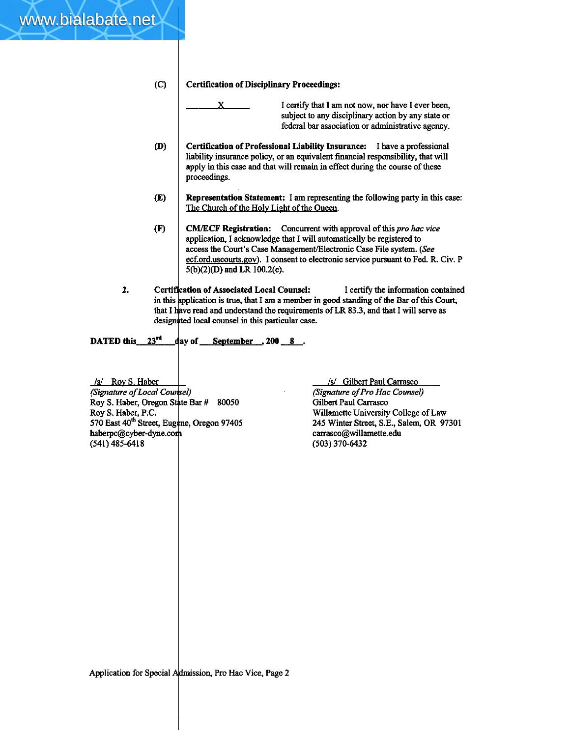## **(C) Certification of Disciplinary Proceedings:**

- Certification of Disciplinary Proceedings:<br>
X<br>
I certify that I am not now, nor have I ever been,<br>
subject to any disciplinary action by any state or<br>
federal bar association or administrative agency. subject to any disciplinary action by **any** state or federal **bar** association or administrative agency.
- $(D)$ **Certification of Professional Liability Insurance:** I have a professional liability insurance policy, or **an** equivalent financial responsibility, that wiIl appIy in this case and that will remain in effect during the course of these proceedings.
- $(E)$ **Representation Statement: I am** representing the following party in this case: The Church of the Holy Light of the Queen.
- **CM/ECF Registration:** Concurrent with approval of this pro hac vice  $(F)$ application, I acknowledge that I will automatically be registered to access the Court's Case Management/Electronic Case File system. (See ecf.ord.uscourts.gov). I consent to electronic service pursuant to Fed. R. Civ. P 5(b)(2)(D) and LR 100.2(c).
- **2.** Certification of Associated Local Counsel: I certify the information contained in this application is true, that I am a member in good standing of the Bar of this Court, that I have read and understand the requirements of LR 83.3, and that I will serve as designated local counsel in this particular case.

DATED this 23<sup>rd</sup> day of <u>September</u> 3 200 8.

**Is/** Rov S. Haber *(Signature of Local Counsel)* Roy S. Haber, Oregon State Bar # 80050 Roy **S.** Haber, P.C. 570 East 40<sup>th</sup> Street, Eugene, Oregon 97405 haberpc@cyber-dyne.com (541) 485-641 8

www.bialabate.net

/s/ Gilbert Paul Carrasco **2)** *(signature of* **Pro** *Hoc* **Counseg**  Gilbert Paul Carrasco Willamette University College of Law **le,** Oregon 97405 245 Winter Street, S.E., Salem, OR 97301 carrasco@wilIamette.edu (503) 370-6432